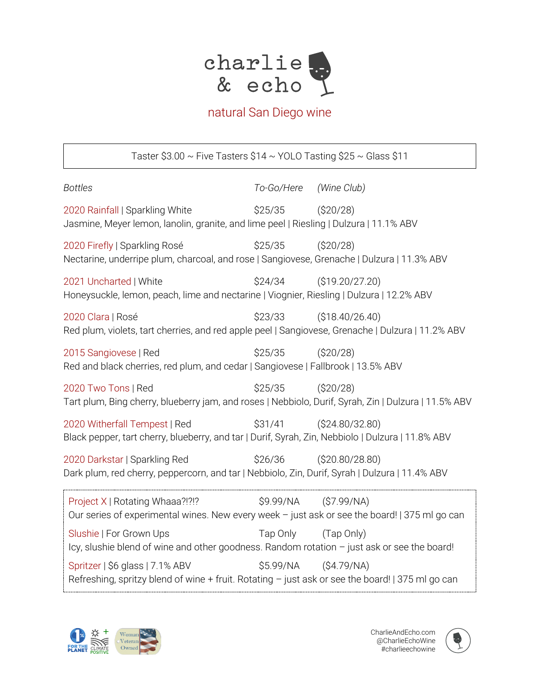

## natural San Diego wine

Taster  $$3.00 \sim$  Five Tasters  $$14 \sim$  YOLO Tasting  $$25 \sim$  Glass  $$11$ *Bottles To-Go/Here (Wine Club)* 2020 Rainfall | Sparkling White \$25/35 (\$20/28) Jasmine, Meyer lemon, lanolin, granite, and lime peel | Riesling | Dulzura | 11.1% ABV 2020 Firefly | Sparkling Rosé \$25/35 (\$20/28) Nectarine, underripe plum, charcoal, and rose | Sangiovese, Grenache | Dulzura | 11.3% ABV 2021 Uncharted | White  $$24/34$  (\$19.20/27.20) Honeysuckle, lemon, peach, lime and nectarine | Viognier, Riesling | Dulzura | 12.2% ABV 2020 Clara | Rosé \$23/33 (\$18.40/26.40) Red plum, violets, tart cherries, and red apple peel | Sangiovese, Grenache | Dulzura | 11.2% ABV 2015 Sangiovese | Red  $$25/35$  (\$20/28) Red and black cherries, red plum, and cedar | Sangiovese | Fallbrook | 13.5% ABV 2020 Two Tons | Red  $$25/35$  (\$20/28) Tart plum, Bing cherry, blueberry jam, and roses | Nebbiolo, Durif, Syrah, Zin | Dulzura | 11.5% ABV 2020 Witherfall Tempest | Red \$31/41 (\$24.80/32.80) Black pepper, tart cherry, blueberry, and tar | Durif, Syrah, Zin, Nebbiolo | Dulzura | 11.8% ABV 2020 Darkstar | Sparkling Red \$26/36 (\$20.80/28.80) Dark plum, red cherry, peppercorn, and tar | Nebbiolo, Zin, Durif, Syrah | Dulzura | 11.4% ABV Project X | Rotating Whaaa?!?!? \$9.99/NA (\$7.99/NA) Our series of experimental wines. New every week – just ask or see the board! | 375 ml go can Slushie | For Grown Ups Tap Only (Tap Only) Icy, slushie blend of wine and other goodness. Random rotation – just ask or see the board! Spritzer | \$6 glass | 7.1% ABV \$5.99/NA (\$4.79/NA) Refreshing, spritzy blend of wine  $+$  fruit. Rotating  $-$  just ask or see the board! | 375 ml go can